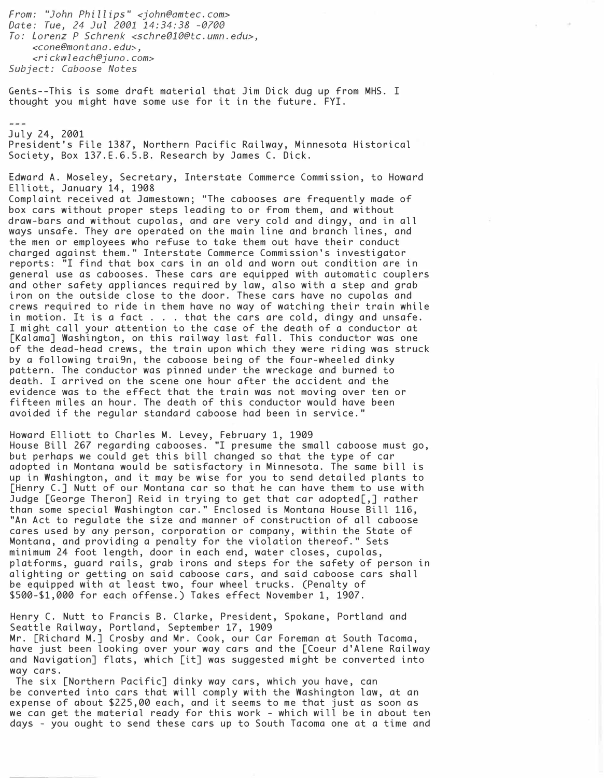From: "John Phillips" <john@amtec.com> Date: Tue, 24 Jul 2001 14:34:38 -070e To: Lorenz P Schrenk <schreOl0@tc.umn.edu>, <cone@montana.edu>, <rickwleach@juno.com> Subject: Caboose Notes Gents--This is some draft material that Jim Dick dug up from MHS. I thought you might have some use for it in the future. FYI. July 24, 2001 President' s File 1387, Northern Pacific Railway, Minnesota Historical Society, Box 137. E.6.5.B. Research by James C. Dick. Edward A. Moseley, Secretary, Interstate Commerce Commission, to Howard Elliott, January 14, 1908 Complaint received at Jamestown; "The cabooses are frequently made of box cars without proper steps leading to or from them, and without draw-bars and without cupolas, and are very cold and dingy, and in all ways unsafe. They are operated on the main line and branch lines, and the men or employees who refuse to take them out have their conduct charged against them." Interstate Commerce Commission' s investigator reports: "I find that box cars in an old and worn out condition are in general use as cabooses. These cars are equipped with automatic couplers and other safety appliances required by law, also with a step and grab iron on the outside close to the door. These cars have no cupolas and crews required to ride in them have no way of watching their train while in motion. It is a fact . . . that the cars are cold, dingy and unsafe. I might call your attention to the case of the death of a conductor at [Kalama] Washington, on this railway last fall. This conductor was one of the dead-head crews, the train upon which they were riding was struck by a following trai9n, the caboose being of the four-wheeled dinky pattern. The conductor was pinned under the wreckage and burned to death. I arrived on the scene one hour after the accident and the evidence was to the effect that the train was not moving over ten or fifteen miles an hour. The death of this conductor would have been avoided if the regular standard caboose had been in service." Howard Elliott to Charles M. Levey, February 1, 1909 House Bill 267 regarding cabooses. "I presume the small caboose must go, but perhaps we could get this bill changed so that the type of car adopted in Montana would be satisfactory in Minnesota. The same bill is up in Washington, and it may be wise for you to send detailed plants to [Henry C.] Nutt of our Montana car so that he can have them to use with Judge [George Theron] Reid in trying to get that car adopted[,] rather than some special Washington car." Enclosed is Montana House Bill 116, "An Act to regulate the size and manner of construction of all caboose

cares used by any person, corporation or company, within the State of Montana, and providing a penalty for the violation thereof." Sets minimum 24 foot length, door in each end, water closes, cupolas, platforms, guard rails, grab irons and steps for the safety of person in alighting or getting on said caboose cars, and said caboose cars shall be equipped with at least two, four wheel trucks. (Penalty of \$500-\$1,000 for each offense. ) Takes effect November 1, 1907.

Henry C. Nutt to Francis B. Clarke, President, Spokane, Portland and Seattle Railway, Portland, September 17, 1909 Mr. [Richard M.] Crosby and Mr. Cook, our Car Foreman at South Tacoma, have just been looking over your way cars and the [Coeur d' Alene Railway and Navigation] flats, which [it] was suggested might be converted into way cars.

The six [Northern Pacific] dinky way cars, which you have, can be converted into cars that will comply with the Washington law, at an expense of about \$225,00 each, and it seems to me that just as soon as we can get the material ready for this work - which will be in about ten days - you ought to send these cars up to South Tacoma one at a time and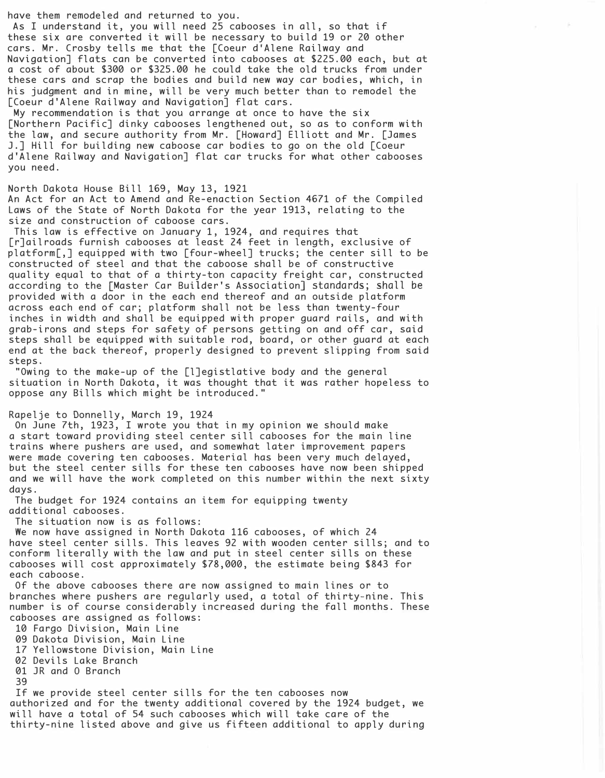have them remodeled and returned to you.

As I understand it, you will need 25 cabooses in all, so that if these six are converted it will be necessary to build 19 or 20 other cars. Mr. Crosby tells me that the [Coeur d'Alene Railway and Navigation] flats can be converted into cabooses at \$225.00 each, but at a cost of about \$300 or \$325.00 he could take the old trucks from under these cars and scrap the bodies and build new way car bodies, which, in his judgment and in mine, will be very much better than to remodel the [Coeur d'Alene Railway and Navigation] flat cars.

My recommendation is that you arrange at once to have the six [Northern Pacific] dinky cabooses lengthened out, so as to conform with the law, and secure authority from Mr. [Howard] Elliott and Mr. [James J.] Hill for building new caboose car bodies to go on the old [Coeur d'Alene Railway and Navigation] flat car trucks for what other cabooses you need.

North Dakota House Bill 169, May 13, 1921 An Act for an Act to Amend and Re-enaction Section 4671 of the Compiled Laws of the State of North Dakota for the year 1913, relating to the size and construction of caboose cars.

This law is effective on January 1, 1924, and requires that [r]ailroads furnish cabooses at least 24 feet in length, exclusive of platform[,] equipped with two [four-wheel] trucks; the center sill to be constructed of steel and that the caboose shall be of constructive quality equal to that of a thirty-ton capacity freight car, constructed according to the [Master Car Builder's Association] standards; shall be provided with a door in the each end thereof and an outside platform across each end of car; platform shall not be less than twenty-four inches in width and shall be equipped with proper guard rails, and with grab-irons and steps for safety of persons getting on and off car, said steps shall be equipped with suitable rod, board, or other guard at each end at the back thereof, properly designed to prevent slipping from said steps.

"Owing to the make-up of the [l]egistlative body and the general situation in North Dakota, it was thought that it was rather hopeless to oppose any Bills which might be introduced."

Rapelje to Donnelly, March 19, 1924

On June 7th, 1923, I wrote you that in my opinion we should make a start toward providing steel center sill cabooses for the main line trains where pushers are used, and somewhat later improvement papers were made covering ten cabooses. Material has been very much delayed, but the steel center sills for these ten cabooses have now been shipped and we will have the work completed on this number within the next sixty days.

The budget for 1924 contains an item for equipping twenty additional cabooses.

The situation now is as follows:

We now have assigned in North Dakota 116 cabooses, of which 24 have steel center sills. This leaves 92 with wooden center sills; and to conform literally with the law and put in steel center sills on these cabooses will cost approximately \$78,000, the estimate being \$843 for each caboose.

Of the above cabooses there are now assigned to main lines or to branches where pushers are regularly used, a total of thirty-nine. This number is of course considerably increased during the fall months. These cabooses are assigned as follows:

10 Fargo Division, Main Line

09 Dakota Division, Main Line

17 Yellowstone Division, Main Line

02 Devils Lake Branch

01 JR and 0 Branch

39

If we provide steel center sills for the ten cabooses now authorized and for the twenty additional covered by the 1924 budget, we will have a total of 54 such cabooses which will take care of the thirty-nine listed above and give us fifteen additional to apply during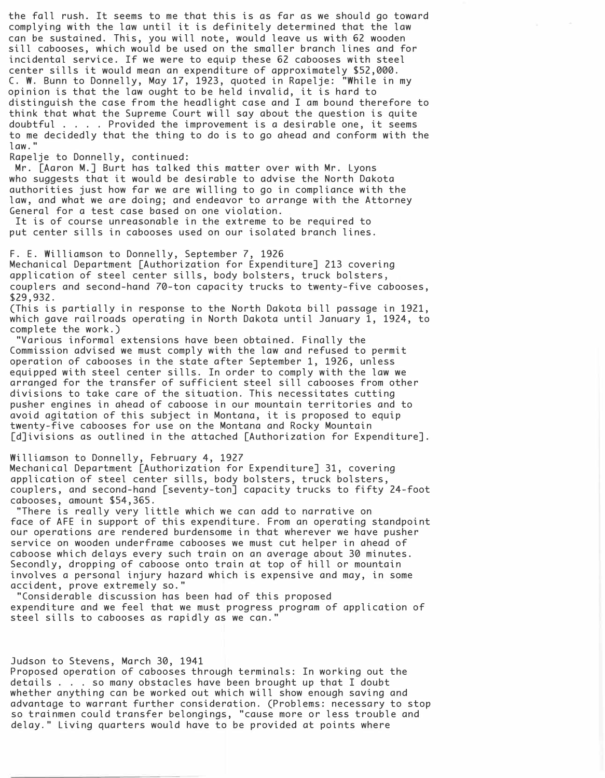the fall rush. It seems to me that this is as far as we should go toward complying with the law until it is definitely determined that the law can be sustained. This, you will note, would leave us with 62 wooden sill cabooses, which would be used on the smaller branch lines and for incidental service. If we were to equip these 62 cabooses with steel center sills it would mean an expenditure of approximately \$52,000. C. W. Bunn to Donnelly, May 17, 1923, quoted in Rapelje: "While in my opinion is that the law ought to be held invalid, it is hard to distinguish the case from the headlight case and I am bound therefore to think that what the Supreme Court will say about the question is quite doubtful .... Provided the improvement is a desirable one, it seems to me decidedly that the thing to do is to go ahead and conform with the law."

Rapelje to Donnelly, continued:

Mr. [Aaron M.] Burt has talked this matter over with Mr. Lyons who suggests that it would be desirable to advise the North Dakota authorities just how far we are willing to go in compliance with the law, and what we are doing; and endeavor to arrange with the Attorney General for a test case based on one violation.

It is of course unreasonable in the extreme to be required to put center sills in cabooses used on our isolated branch lines.

F. E. Williamson to Donnelly, September 7, 1926 Mechanical Department [Authorization for Expenditure] 213 covering application of steel center sills, body bolsters, truck bolsters, couplers and second-hand 70-ton capacity trucks to twenty-five cabooses, \$29,932.

(This is partially in response to the North Dakota bill passage in 1921, which gave railroads operating in North Dakota until January 1, 1924, to complete the work.)

"Various informal extensions have been obtained. Finally the Commission advised we must comply with the law and refused to permit operation of cabooses in the state after September 1, 1926, unless equipped with steel center sills. In order to comply with the law we arranged for the transfer of sufficient steel sill cabooses from other divisions to take care of the situation. This necessitates cutting pusher engines in ahead of caboose in our mountain territories and to avoid agitation of this subject in Montana, it is proposed to equip twenty-five cabooses for use on the Montana and Rocky Mountain [d]ivisions as outlined in the attached [Authorization for Expenditure].

#### Williamson to Donnelly, February 4, 1927

Mechanical Department [Authorization for Expenditure] 31, covering application of steel center sills, body bolsters, truck bolsters, couplers, and second-hand [seventy-ton] capacity trucks to fifty 24-foot cabooses, amount \$54,365.

"There is really very little which we can add to narrative on face of AFE in support of this expenditure. From an operating standpoint our operations are rendered burdensome in that wherever we have pusher service on wooden underframe cabooses we must cut helper in ahead of caboose which delays every such train on an average about 30 minutes. Secondly, dropping of caboose onto train at top of hill or mountain involves a personal injury hazard which is expensive and may, in some accident, prove extremely so."

"Considerable discussion has been had of this proposed expenditure and we feel that we must progress program of application of steel sills to cabooses as rapidly as we can."

# Judson to Stevens, March 30, 1941

Proposed operation of cabooses through terminals: In working out the details . . . so many obstacles have been brought up that I doubt whether anything can be worked out which will show enough saving and advantage to warrant further consideration. (Problems: necessary to stop so trainmen could transfer belongings, "cause more or less trouble and delay." Living quarters would have to be provided at points where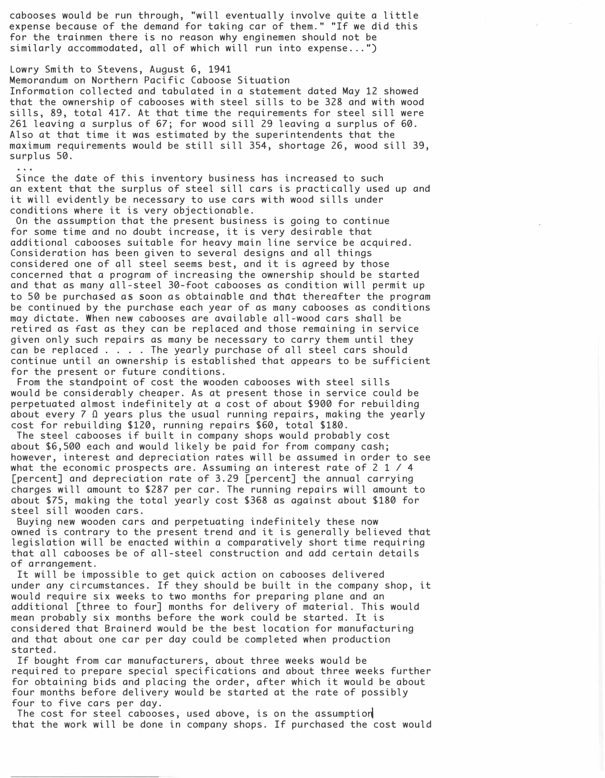cabooses would be run through, "will eventually involve quite a little expense because of the demand for taking car of them." "If we did this for the trainmen there is no reason why enginemen should not be similarly accommodated, all of which will run into expense ... ")

# Lowry Smith to Stevens, August 6, 1941

 $\begin{array}{cccccccccccccc} \bullet & \bullet & \bullet & \bullet & \bullet \end{array}$ 

Memorandum on Northern Pacific Caboose Situation Information collected and tabulated in a statement dated May 12 showed that the ownership of cabooses with steel sills to be 328 and with wood sills, 89, total 417. At that time the requirements for steel sill were 261 leaving a surplus of 67; for wood sill 29 leaving a surplus of 60. Also at that time it was estimated by the superintendents that the maximum requirements would be still sill 354, shortage 26, wood sill 39, surplus 50.

Since the date of this inventory business has increased to such an extent that the surplus of steel sill cars is practically used up and it will evidently be necessary to use cars with wood sills under conditions where it is very objectionable.

On the assumption that the present business is going to continue for some time and no doubt increase, it is very desirable that additional cabooses suitable for heavy main line service be acquired. Consideration has been given to several designs and all things considered one of all steel seems best, and it is agreed by those concerned that a program of increasing the ownership should be started and that as many all-steel 30-foot cabooses as condition will permit up to 50 be purchased as soon as obtainable and that thereafter the program be continued by the purchase each year of as many cabooses as conditions may dictate. When new cabooses are available all-wood cars shall be retired as fast as they can be replaced and those remaining in service given only such repairs as many be necessary to carry them until they can be replaced . . . . The yearly purchase of all steel cars should continue until an ownership is established that appears to be sufficient for the present or future conditions.

From the standpoint of cost the wooden cabooses with steel sills would be considerably cheaper. As at present those in service could be perpetuated almost indefinitely at a cost of about \$900 for rebuilding about every 7  $\Omega$  years plus the usual running repairs, making the yearly cost for rebuilding \$120, running repairs \$60, total \$180.

The steel cabooses if built in company shops would probably cost about \$6,500 each and would likely be paid for from company cash; however, interest and depreciation rates will be assumed in order to see what the economic prospects are. Assuming an interest rate of 2 1 / 4 [percent] and depreciation rate of 3.29 [percent] the annual carrying charges will amount to \$287 per car. The running repairs will amount to about \$75, making the total yearly cost \$368 as against about \$180 for steel sill wooden cars.

Buying new wooden cars and perpetuating indefinitely these now owned is contrary to the present trend and it is generally believed that legislation will be enacted within a comparatively short time requiring that all cabooses be of all-steel construction and add certain details of arrangement .

It will be impossible to get quick action on cabooses delivered under any circumstances. If they should be built in the company shop, it would require six weeks to two months for preparing plane and an additional [three to four] months for delivery of material. This would mean probably six months before the work could be started. It is considered that Brainerd would be the best location for manufacturing and that about one car per day could be completed when production started.

If bought from car manufacturers, about three weeks would be required to prepare special specifications and about three weeks further for obtaining bids and placing the order, after which it would be about four months before delivery would be started at the rate of possibly four to five cars per day.

The cost for steel cabooses, used above, is on the assumption that the work will be done in company shops. If purchased the cost would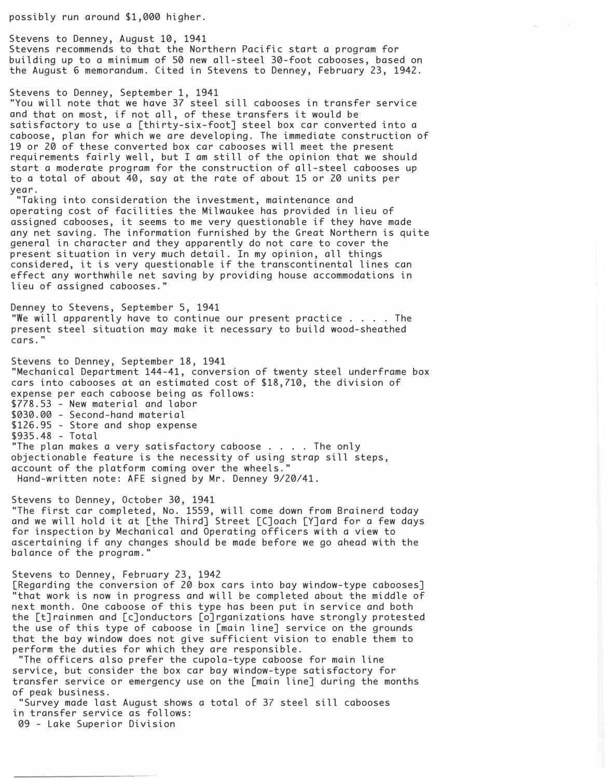possibly run around \$1,000 higher.

Stevens to Denney, August 10, 1941 Stevens recommends to that the Northern Pacific start a program for building up to a minimum of 50 new all-steel 30-foot cabooses, based on the August 6 memorandum. Cited in Stevens to Denney, February 23, 1942.

## Stevens to Denney, September 1, 1941

"You will note that we have 37 steel sill cabooses in transfer service and that on most, if not all, of these transfers it would be satisfactory to use a [thirty-six-foot] steel box car converted into a caboose, plan for which we are developing. The immediate construction of 19 or 20 of these converted box car cabooses will meet the present requirements fairly well, but I am still of the opinion that we should start a moderate program for the construction of all-steel cabooses up to a total of about 40, say at the rate of about 15 or 20 units per year.

"Taking into consideration the investment, maintenance and operating cost of facilities the Milwaukee has provided in lieu of assigned cabooses, it seems to me very questionable if they have made any net saving. The information furnished by the Great Northern is quite general in character and they apparently do not care to cover the present situation in very much detail. In my opinion, all things considered, it is very questionable if the transcontinental lines can effect any worthwhile net saving by providing house accommodations in lieu of assigned cabooses."

Denney to Stevens, September 5, 1941 "We will apparently have to continue our present practice .... The present steel situation may make it necessary to build wood-sheathed cars. "

Stevens to Denney, September 18, 1941 "Mechanical Department 144-41, conversion of twenty steel underframe box cars into cabooses at an estimated cost of \$18,710, the division of expense per each caboose being as follows: \$778.53 - New material and labor \$030.00 - Second-hand material \$126.95 - Store and shop expense \$935.48 - Total "The plan makes a very satisfactory caboose . . . . The only objectionable feature is the necessity of using strap sill steps, account of the platform coming over the wheels." Hand-written note: AFE signed by Mr. Denney 9/20/41.

Stevens to Denney, October 30, 1941

"The first car completed, No. 1559, will come down from Brainerd today and we will hold it at [the Third] Street [C]oach [Y]ard for a few days for inspection by Mechanical and Operating officers with a view to ascertaining if any changes should be made before we go ahead with the balance of the program."

# Stevens to Denney, February 23, 1942

[Regarding the conversion of 20 box cars into bay window-type cabooses] "that work is now in progress and will be completed about the middle of next month. One caboose of this type has been put in service and both the [t]rainmen and [c]onductors [o]rganizations have strongly protested the use of this type of caboose in [main line] service on the grounds that the bay window does not give sufficient vision to enable them to perform the duties for which they are responsible.

"The officers also prefer the cupola-type caboose for main line service, but consider the box car bay window-type satisfactory for transfer service or emergency use on the [main line] during the months of peak business.

"Survey made last August shows a total of 37 steel sill cabooses in transfer service as follows:

09 - Lake Superior Division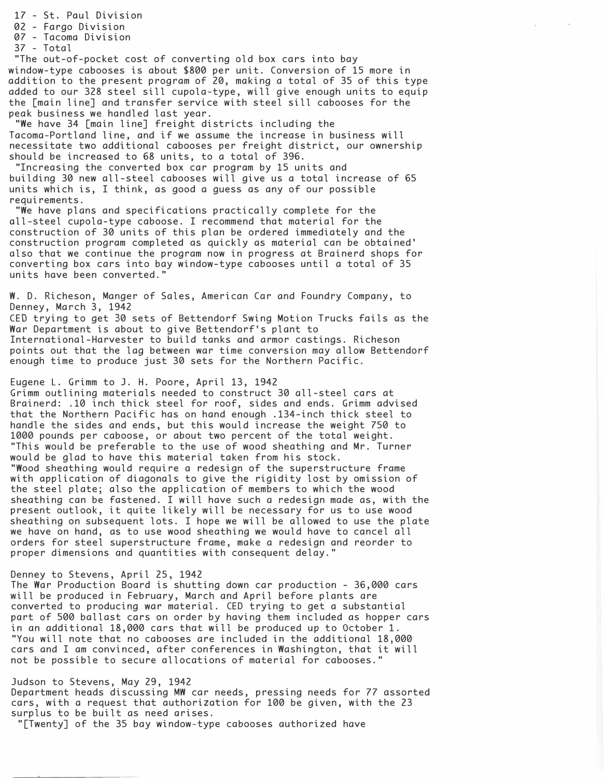17 - St. Paul Division 02 - Fargo Division 07 - Tacoma Division 37 - Total "The out-of-pocket cost of converting old box cars into bay window-type cabooses is about \$800 per unit. Conversion of 15 more in addition to the present program of 20, making a total of 35 of this type added to our 328 steel sill cupola-type, will give enough units to equip the [main line] and transfer service with steel sill cabooses for the peak business we handled last year. "We have 34 [main line] freight districts including the Tacoma-Portland line, and if we assume the increase in business will necessitate two additional cabooses per freight district, our ownership should be increased to 68 units, to a total of 396. "Increasing the converted box car program by 15 units and building 30 new all-steel cabooses will give us a total increase of 65 units which is, I think, as good a guess as any of our possible requirements. "We have plans and specifications practically complete for the all-steel cupola-type caboose. I recommend that material for the construction of 30 units of this plan be ordered immediately and the construction program completed as quickly as material can be obtained' also that we continue the program now in progress at Brainerd shops for converting box cars into bay window-type cabooses until a total of 35 units have been converted." W. D. Richeson, Manger of Sales, American Car and Foundry Company, to Denney, March 3, 1942 CEO trying to get 30 sets of Bettendorf Swing Motion Trucks fails as the War Department is about to give Bettendorf's plant to International-Harvester to build tanks and armor castings. Richeson points out that the lag between war time conversion may allow Bettendorf enough time to produce just 30 sets for the Northern Pacific. Eugene L. Grimm to J. H. Poore, April 13, 1942 Grimm outlining materials needed to construct 30 all-steel cars at Brainerd: .10 inch thick steel for roof, sides and ends. Grimm advised that the Northern Pacific has on hand enough . 134-inch thick steel to handle the sides and ends, but this would increase the weight 750 to 1000 pounds per caboose, or about two percent of the total weight. "This would be preferable to the use of wood sheathing and Mr. Turner would be glad to have this material taken from his stock. "Wood sheathing would require a redesign of the superstructure frame with application of diagonals to give the rigidity lost by omission of the steel plate; also the application of members to which the wood sheathing can be fastened. I will have such a redesign made as, with the present outlook, it quite likely will be necessary for us to use wood sheathing on subsequent lots. I hope we will be allowed to use the plate we have on hand, as to use wood sheathing we would have to cancel all orders for steel superstructure frame, make a redesign and reorder to

### Denney to Stevens, April 25, 1942

The War Production Board is shutting down car production - 36,000 cars will be produced in February, March and April before plants are converted to producing war material. CEO trying to get a substantial part of 500 ballast cars on order by having them included as hopper cars in an additional 18,000 cars that will be produced up to October 1. "You will note that no cabooses are included in the additional 18,000 cars and I am convinced, after conferences in Washington, that it will not be possible to secure allocations of material for cabooses."

## Judson to Stevens, May 29, 1942

Department heads discussing MW car needs, pressing needs for 77 assorted cars, with a request that authorization for 100 be given, with the 23 surplus to be built as need arises.

"[Twenty] of the 35 bay window-type cabooses authorized have

proper dimensions and quantities with consequent delay."